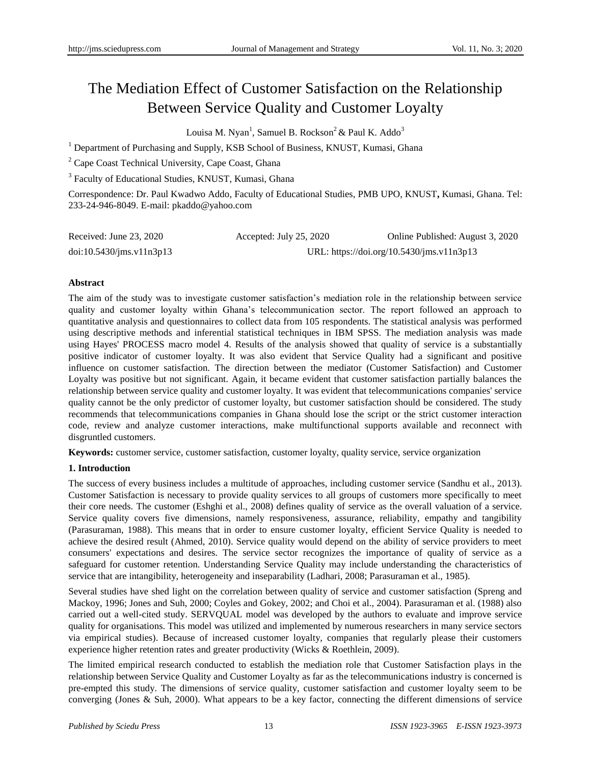# The Mediation Effect of Customer Satisfaction on the Relationship Between Service Quality and Customer Loyalty

Louisa M. Nyan<sup>1</sup>, Samuel B. Rockson<sup>2</sup> & Paul K. Addo<sup>3</sup>

<sup>1</sup> Department of Purchasing and Supply, KSB School of Business, KNUST, Kumasi, Ghana

<sup>2</sup> Cape Coast Technical University, Cape Coast, Ghana

<sup>3</sup> Faculty of Educational Studies, KNUST, Kumasi, Ghana

Correspondence: Dr. Paul Kwadwo Addo, Faculty of Educational Studies, PMB UPO, KNUST**,** Kumasi, Ghana. Tel: 233-24-946-8049. E-mail: [pkaddo@yahoo.com](mailto:pkaddo@yahoo.com)

| Received: June 23, 2020  | Accepted: July 25, 2020 | Online Published: August 3, 2020          |
|--------------------------|-------------------------|-------------------------------------------|
| doi:10.5430/jms.v11n3p13 |                         | URL: https://doi.org/10.5430/jms.v11n3p13 |

## **Abstract**

The aim of the study was to investigate customer satisfaction's mediation role in the relationship between service quality and customer loyalty within Ghana's telecommunication sector. The report followed an approach to quantitative analysis and questionnaires to collect data from 105 respondents. The statistical analysis was performed using descriptive methods and inferential statistical techniques in IBM SPSS. The mediation analysis was made using Hayes' PROCESS macro model 4. Results of the analysis showed that quality of service is a substantially positive indicator of customer loyalty. It was also evident that Service Quality had a significant and positive influence on customer satisfaction. The direction between the mediator (Customer Satisfaction) and Customer Loyalty was positive but not significant. Again, it became evident that customer satisfaction partially balances the relationship between service quality and customer loyalty. It was evident that telecommunications companies' service quality cannot be the only predictor of customer loyalty, but customer satisfaction should be considered. The study recommends that telecommunications companies in Ghana should lose the script or the strict customer interaction code, review and analyze customer interactions, make multifunctional supports available and reconnect with disgruntled customers.

**Keywords:** customer service, customer satisfaction, customer loyalty, quality service, service organization

# **1. Introduction**

The success of every business includes a multitude of approaches, including customer service (Sandhu et al., 2013). Customer Satisfaction is necessary to provide quality services to all groups of customers more specifically to meet their core needs. The customer (Eshghi et al., 2008) defines quality of service as the overall valuation of a service. Service quality covers five dimensions, namely responsiveness, assurance, reliability, empathy and tangibility (Parasuraman, 1988). This means that in order to ensure customer loyalty, efficient Service Quality is needed to achieve the desired result (Ahmed, 2010). Service quality would depend on the ability of service providers to meet consumers' expectations and desires. The service sector recognizes the importance of quality of service as a safeguard for customer retention. Understanding Service Quality may include understanding the characteristics of service that are intangibility, heterogeneity and inseparability (Ladhari, 2008; Parasuraman et al., 1985).

Several studies have shed light on the correlation between quality of service and customer satisfaction (Spreng and Mackoy, 1996; Jones and Suh, 2000; Coyles and Gokey, 2002; and Choi et al., 2004). Parasuraman et al. (1988) also carried out a well-cited study. SERVQUAL model was developed by the authors to evaluate and improve service quality for organisations. This model was utilized and implemented by numerous researchers in many service sectors via empirical studies). Because of increased customer loyalty, companies that regularly please their customers experience higher retention rates and greater productivity (Wicks & Roethlein, 2009).

The limited empirical research conducted to establish the mediation role that Customer Satisfaction plays in the relationship between Service Quality and Customer Loyalty as far as the telecommunications industry is concerned is pre-empted this study. The dimensions of service quality, customer satisfaction and customer loyalty seem to be converging (Jones & Suh, 2000). What appears to be a key factor, connecting the different dimensions of service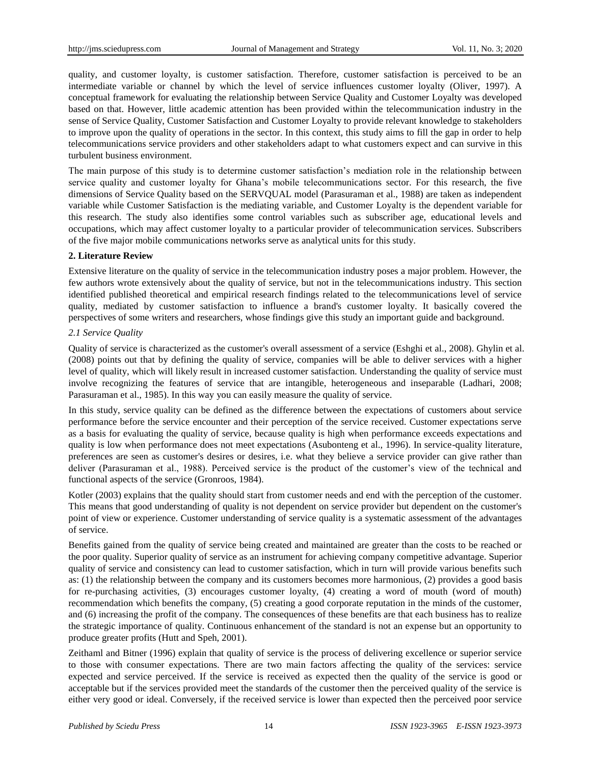quality, and customer loyalty, is customer satisfaction. Therefore, customer satisfaction is perceived to be an intermediate variable or channel by which the level of service influences customer loyalty (Oliver, 1997). A conceptual framework for evaluating the relationship between Service Quality and Customer Loyalty was developed based on that. However, little academic attention has been provided within the telecommunication industry in the sense of Service Quality, Customer Satisfaction and Customer Loyalty to provide relevant knowledge to stakeholders to improve upon the quality of operations in the sector. In this context, this study aims to fill the gap in order to help telecommunications service providers and other stakeholders adapt to what customers expect and can survive in this turbulent business environment.

The main purpose of this study is to determine customer satisfaction's mediation role in the relationship between service quality and customer loyalty for Ghana's mobile telecommunications sector. For this research, the five dimensions of Service Quality based on the SERVQUAL model (Parasuraman et al., 1988) are taken as independent variable while Customer Satisfaction is the mediating variable, and Customer Loyalty is the dependent variable for this research. The study also identifies some control variables such as subscriber age, educational levels and occupations, which may affect customer loyalty to a particular provider of telecommunication services. Subscribers of the five major mobile communications networks serve as analytical units for this study.

# **2. Literature Review**

Extensive literature on the quality of service in the telecommunication industry poses a major problem. However, the few authors wrote extensively about the quality of service, but not in the telecommunications industry. This section identified published theoretical and empirical research findings related to the telecommunications level of service quality, mediated by customer satisfaction to influence a brand's customer loyalty. It basically covered the perspectives of some writers and researchers, whose findings give this study an important guide and background.

# *2.1 Service Quality*

Quality of service is characterized as the customer's overall assessment of a service (Eshghi et al., 2008). Ghylin et al. (2008) points out that by defining the quality of service, companies will be able to deliver services with a higher level of quality, which will likely result in increased customer satisfaction. Understanding the quality of service must involve recognizing the features of service that are intangible, heterogeneous and inseparable (Ladhari, 2008; Parasuraman et al., 1985). In this way you can easily measure the quality of service.

In this study, service quality can be defined as the difference between the expectations of customers about service performance before the service encounter and their perception of the service received. Customer expectations serve as a basis for evaluating the quality of service, because quality is high when performance exceeds expectations and quality is low when performance does not meet expectations (Asubonteng et al., 1996). In service-quality literature, preferences are seen as customer's desires or desires, i.e. what they believe a service provider can give rather than deliver (Parasuraman et al., 1988). Perceived service is the product of the customer's view of the technical and functional aspects of the service (Gronroos, 1984).

Kotler (2003) explains that the quality should start from customer needs and end with the perception of the customer. This means that good understanding of quality is not dependent on service provider but dependent on the customer's point of view or experience. Customer understanding of service quality is a systematic assessment of the advantages of service.

Benefits gained from the quality of service being created and maintained are greater than the costs to be reached or the poor quality. Superior quality of service as an instrument for achieving company competitive advantage. Superior quality of service and consistency can lead to customer satisfaction, which in turn will provide various benefits such as: (1) the relationship between the company and its customers becomes more harmonious, (2) provides a good basis for re-purchasing activities, (3) encourages customer loyalty, (4) creating a word of mouth (word of mouth) recommendation which benefits the company, (5) creating a good corporate reputation in the minds of the customer, and (6) increasing the profit of the company. The consequences of these benefits are that each business has to realize the strategic importance of quality. Continuous enhancement of the standard is not an expense but an opportunity to produce greater profits (Hutt and Speh, 2001).

Zeithaml and Bitner (1996) explain that quality of service is the process of delivering excellence or superior service to those with consumer expectations. There are two main factors affecting the quality of the services: service expected and service perceived. If the service is received as expected then the quality of the service is good or acceptable but if the services provided meet the standards of the customer then the perceived quality of the service is either very good or ideal. Conversely, if the received service is lower than expected then the perceived poor service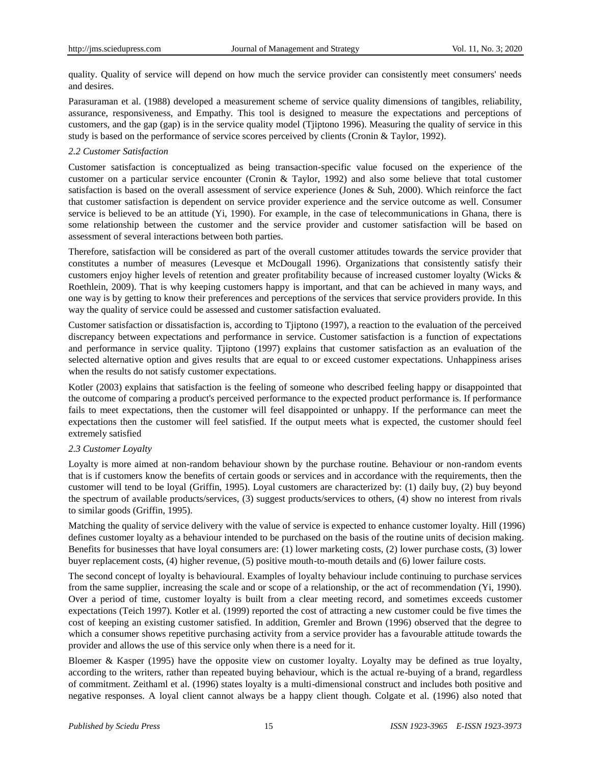quality. Quality of service will depend on how much the service provider can consistently meet consumers' needs and desires.

Parasuraman et al. (1988) developed a measurement scheme of service quality dimensions of tangibles, reliability, assurance, responsiveness, and Empathy. This tool is designed to measure the expectations and perceptions of customers, and the gap (gap) is in the service quality model (Tjiptono 1996). Measuring the quality of service in this study is based on the performance of service scores perceived by clients (Cronin & Taylor, 1992).

## *2.2 Customer Satisfaction*

Customer satisfaction is conceptualized as being transaction-specific value focused on the experience of the customer on a particular service encounter (Cronin & Taylor, 1992) and also some believe that total customer satisfaction is based on the overall assessment of service experience (Jones & Suh, 2000). Which reinforce the fact that customer satisfaction is dependent on service provider experience and the service outcome as well. Consumer service is believed to be an attitude (Yi, 1990). For example, in the case of telecommunications in Ghana, there is some relationship between the customer and the service provider and customer satisfaction will be based on assessment of several interactions between both parties.

Therefore, satisfaction will be considered as part of the overall customer attitudes towards the service provider that constitutes a number of measures (Levesque et McDougall 1996). Organizations that consistently satisfy their customers enjoy higher levels of retention and greater profitability because of increased customer loyalty (Wicks & Roethlein, 2009). That is why keeping customers happy is important, and that can be achieved in many ways, and one way is by getting to know their preferences and perceptions of the services that service providers provide. In this way the quality of service could be assessed and customer satisfaction evaluated.

Customer satisfaction or dissatisfaction is, according to Tjiptono (1997), a reaction to the evaluation of the perceived discrepancy between expectations and performance in service. Customer satisfaction is a function of expectations and performance in service quality. Tjiptono (1997) explains that customer satisfaction as an evaluation of the selected alternative option and gives results that are equal to or exceed customer expectations. Unhappiness arises when the results do not satisfy customer expectations.

Kotler (2003) explains that satisfaction is the feeling of someone who described feeling happy or disappointed that the outcome of comparing a product's perceived performance to the expected product performance is. If performance fails to meet expectations, then the customer will feel disappointed or unhappy. If the performance can meet the expectations then the customer will feel satisfied. If the output meets what is expected, the customer should feel extremely satisfied

# *2.3 Customer Loyalty*

Loyalty is more aimed at non-random behaviour shown by the purchase routine. Behaviour or non-random events that is if customers know the benefits of certain goods or services and in accordance with the requirements, then the customer will tend to be loyal (Griffin, 1995). Loyal customers are characterized by: (1) daily buy, (2) buy beyond the spectrum of available products/services, (3) suggest products/services to others, (4) show no interest from rivals to similar goods (Griffin, 1995).

Matching the quality of service delivery with the value of service is expected to enhance customer loyalty. Hill (1996) defines customer loyalty as a behaviour intended to be purchased on the basis of the routine units of decision making. Benefits for businesses that have loyal consumers are: (1) lower marketing costs, (2) lower purchase costs, (3) lower buyer replacement costs, (4) higher revenue, (5) positive mouth-to-mouth details and (6) lower failure costs.

The second concept of loyalty is behavioural. Examples of loyalty behaviour include continuing to purchase services from the same supplier, increasing the scale and or scope of a relationship, or the act of recommendation (Yi, 1990). Over a period of time, customer loyalty is built from a clear meeting record, and sometimes exceeds customer expectations (Teich 1997). Kotler et al. (1999) reported the cost of attracting a new customer could be five times the cost of keeping an existing customer satisfied. In addition, Gremler and Brown (1996) observed that the degree to which a consumer shows repetitive purchasing activity from a service provider has a favourable attitude towards the provider and allows the use of this service only when there is a need for it.

Bloemer & Kasper (1995) have the opposite view on customer loyalty. Loyalty may be defined as true loyalty, according to the writers, rather than repeated buying behaviour, which is the actual re-buying of a brand, regardless of commitment. Zeithaml et al. (1996) states loyalty is a multi-dimensional construct and includes both positive and negative responses. A loyal client cannot always be a happy client though. Colgate et al. (1996) also noted that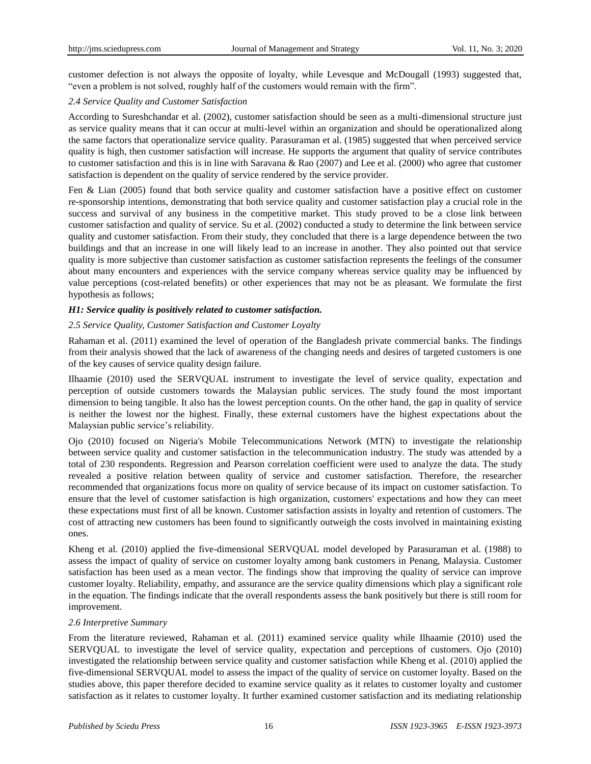customer defection is not always the opposite of loyalty, while Levesque and McDougall (1993) suggested that, "even a problem is not solved, roughly half of the customers would remain with the firm".

## *2.4 Service Quality and Customer Satisfaction*

According to Sureshchandar et al. (2002), customer satisfaction should be seen as a multi-dimensional structure just as service quality means that it can occur at multi-level within an organization and should be operationalized along the same factors that operationalize service quality. Parasuraman et al. (1985) suggested that when perceived service quality is high, then customer satisfaction will increase. He supports the argument that quality of service contributes to customer satisfaction and this is in line with Saravana & Rao (2007) and Lee et al. (2000) who agree that customer satisfaction is dependent on the quality of service rendered by the service provider.

Fen & Lian (2005) found that both service quality and customer satisfaction have a positive effect on customer re-sponsorship intentions, demonstrating that both service quality and customer satisfaction play a crucial role in the success and survival of any business in the competitive market. This study proved to be a close link between customer satisfaction and quality of service. Su et al. (2002) conducted a study to determine the link between service quality and customer satisfaction. From their study, they concluded that there is a large dependence between the two buildings and that an increase in one will likely lead to an increase in another. They also pointed out that service quality is more subjective than customer satisfaction as customer satisfaction represents the feelings of the consumer about many encounters and experiences with the service company whereas service quality may be influenced by value perceptions (cost-related benefits) or other experiences that may not be as pleasant. We formulate the first hypothesis as follows;

# *H1: Service quality is positively related to customer satisfaction.*

## *2.5 Service Quality, Customer Satisfaction and Customer Loyalty*

Rahaman et al. (2011) examined the level of operation of the Bangladesh private commercial banks. The findings from their analysis showed that the lack of awareness of the changing needs and desires of targeted customers is one of the key causes of service quality design failure.

Ilhaamie (2010) used the SERVQUAL instrument to investigate the level of service quality, expectation and perception of outside customers towards the Malaysian public services. The study found the most important dimension to being tangible. It also has the lowest perception counts. On the other hand, the gap in quality of service is neither the lowest nor the highest. Finally, these external customers have the highest expectations about the Malaysian public service's reliability.

Ojo (2010) focused on Nigeria's Mobile Telecommunications Network (MTN) to investigate the relationship between service quality and customer satisfaction in the telecommunication industry. The study was attended by a total of 230 respondents. Regression and Pearson correlation coefficient were used to analyze the data. The study revealed a positive relation between quality of service and customer satisfaction. Therefore, the researcher recommended that organizations focus more on quality of service because of its impact on customer satisfaction. To ensure that the level of customer satisfaction is high organization, customers' expectations and how they can meet these expectations must first of all be known. Customer satisfaction assists in loyalty and retention of customers. The cost of attracting new customers has been found to significantly outweigh the costs involved in maintaining existing ones.

Kheng et al. (2010) applied the five-dimensional SERVQUAL model developed by Parasuraman et al. (1988) to assess the impact of quality of service on customer loyalty among bank customers in Penang, Malaysia. Customer satisfaction has been used as a mean vector. The findings show that improving the quality of service can improve customer loyalty. Reliability, empathy, and assurance are the service quality dimensions which play a significant role in the equation. The findings indicate that the overall respondents assess the bank positively but there is still room for improvement.

### *2.6 Interpretive Summary*

From the literature reviewed, Rahaman et al. (2011) examined service quality while Ilhaamie (2010) used the SERVQUAL to investigate the level of service quality, expectation and perceptions of customers. Ojo (2010) investigated the relationship between service quality and customer satisfaction while Kheng et al. (2010) applied the five-dimensional SERVQUAL model to assess the impact of the quality of service on customer loyalty. Based on the studies above, this paper therefore decided to examine service quality as it relates to customer loyalty and customer satisfaction as it relates to customer loyalty. It further examined customer satisfaction and its mediating relationship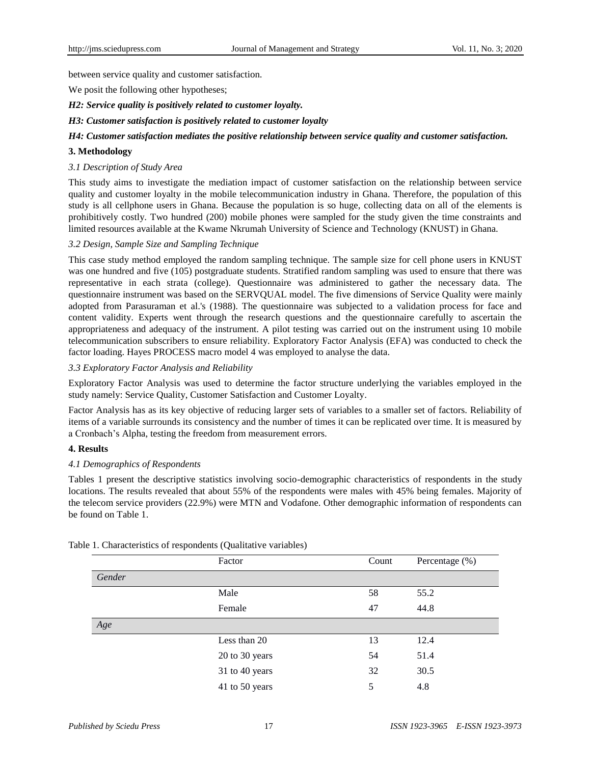between service quality and customer satisfaction.

We posit the following other hypotheses;

*H2: Service quality is positively related to customer loyalty.* 

*H3: Customer satisfaction is positively related to customer loyalty* 

#### *H4: Customer satisfaction mediates the positive relationship between service quality and customer satisfaction.*

#### **3. Methodology**

#### *3.1 Description of Study Area*

This study aims to investigate the mediation impact of customer satisfaction on the relationship between service quality and customer loyalty in the mobile telecommunication industry in Ghana. Therefore, the population of this study is all cellphone users in Ghana. Because the population is so huge, collecting data on all of the elements is prohibitively costly. Two hundred (200) mobile phones were sampled for the study given the time constraints and limited resources available at the Kwame Nkrumah University of Science and Technology (KNUST) in Ghana.

#### *3.2 Design, Sample Size and Sampling Technique*

This case study method employed the random sampling technique. The sample size for cell phone users in KNUST was one hundred and five (105) postgraduate students. Stratified random sampling was used to ensure that there was representative in each strata (college). Questionnaire was administered to gather the necessary data. The questionnaire instrument was based on the SERVQUAL model. The five dimensions of Service Quality were mainly adopted from Parasuraman et al.'s (1988). The questionnaire was subjected to a validation process for face and content validity. Experts went through the research questions and the questionnaire carefully to ascertain the appropriateness and adequacy of the instrument. A pilot testing was carried out on the instrument using 10 mobile telecommunication subscribers to ensure reliability. Exploratory Factor Analysis (EFA) was conducted to check the factor loading. Hayes PROCESS macro model 4 was employed to analyse the data.

#### *3.3 Exploratory Factor Analysis and Reliability*

Exploratory Factor Analysis was used to determine the factor structure underlying the variables employed in the study namely: Service Quality, Customer Satisfaction and Customer Loyalty.

Factor Analysis has as its key objective of reducing larger sets of variables to a smaller set of factors. Reliability of items of a variable surrounds its consistency and the number of times it can be replicated over time. It is measured by a Cronbach's Alpha, testing the freedom from measurement errors.

#### **4. Results**

#### *4.1 Demographics of Respondents*

Tables 1 present the descriptive statistics involving socio-demographic characteristics of respondents in the study locations. The results revealed that about 55% of the respondents were males with 45% being females. Majority of the telecom service providers (22.9%) were MTN and Vodafone. Other demographic information of respondents can be found on Table 1.

|        | Factor         | Count | Percentage (%) |
|--------|----------------|-------|----------------|
| Gender |                |       |                |
|        | Male           | 58    | 55.2           |
|        | Female         | 47    | 44.8           |
| Age    |                |       |                |
|        | Less than 20   | 13    | 12.4           |
|        | 20 to 30 years | 54    | 51.4           |
|        | 31 to 40 years | 32    | 30.5           |
|        | 41 to 50 years | 5     | 4.8            |

Table 1. Characteristics of respondents (Qualitative variables)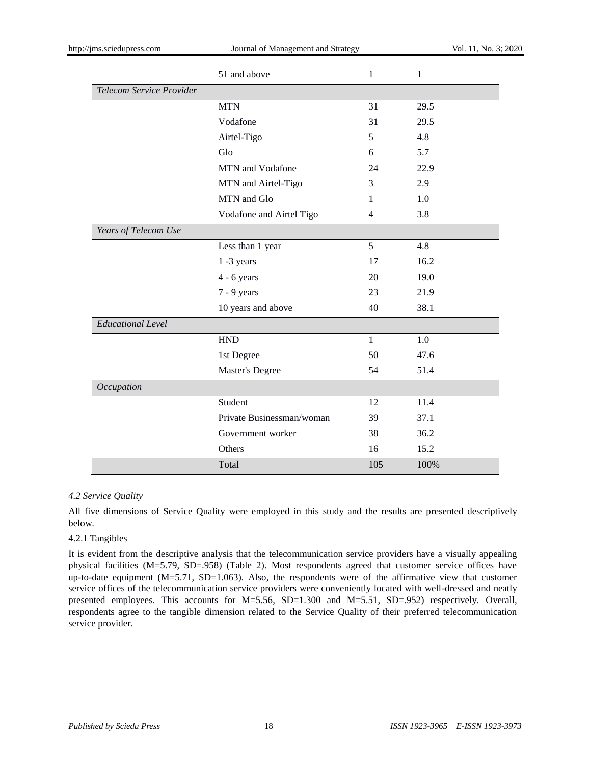|                          | 51 and above              | 1              | 1    |
|--------------------------|---------------------------|----------------|------|
| Telecom Service Provider |                           |                |      |
|                          | <b>MTN</b>                | 31             | 29.5 |
|                          | Vodafone                  | 31             | 29.5 |
|                          | Airtel-Tigo               | 5              | 4.8  |
|                          | Glo                       | 6              | 5.7  |
|                          | MTN and Vodafone          | 24             | 22.9 |
|                          | MTN and Airtel-Tigo       | 3              | 2.9  |
|                          | MTN and Glo               | 1              | 1.0  |
|                          | Vodafone and Airtel Tigo  | $\overline{4}$ | 3.8  |
| Years of Telecom Use     |                           |                |      |
|                          | Less than 1 year          | 5              | 4.8  |
|                          | $1 - 3$ years             | 17             | 16.2 |
|                          | $4 - 6$ years             | 20             | 19.0 |
|                          | $7 - 9$ years             | 23             | 21.9 |
|                          | 10 years and above        | 40             | 38.1 |
| <b>Educational Level</b> |                           |                |      |
|                          | HND                       | $\mathbf{1}$   | 1.0  |
|                          | 1st Degree                | 50             | 47.6 |
|                          | Master's Degree           | 54             | 51.4 |
| Occupation               |                           |                |      |
|                          | Student                   | 12             | 11.4 |
|                          | Private Businessman/woman | 39             | 37.1 |
|                          | Government worker         | 38             | 36.2 |
|                          | Others                    | 16             | 15.2 |
|                          | Total                     | 105            | 100% |

# *4.2 Service Quality*

All five dimensions of Service Quality were employed in this study and the results are presented descriptively below.

#### 4.2.1 Tangibles

It is evident from the descriptive analysis that the telecommunication service providers have a visually appealing physical facilities (M=5.79, SD=.958) (Table 2). Most respondents agreed that customer service offices have up-to-date equipment (M=5.71, SD=1.063). Also, the respondents were of the affirmative view that customer service offices of the telecommunication service providers were conveniently located with well-dressed and neatly presented employees. This accounts for M=5.56, SD=1.300 and M=5.51, SD=.952) respectively. Overall, respondents agree to the tangible dimension related to the Service Quality of their preferred telecommunication service provider.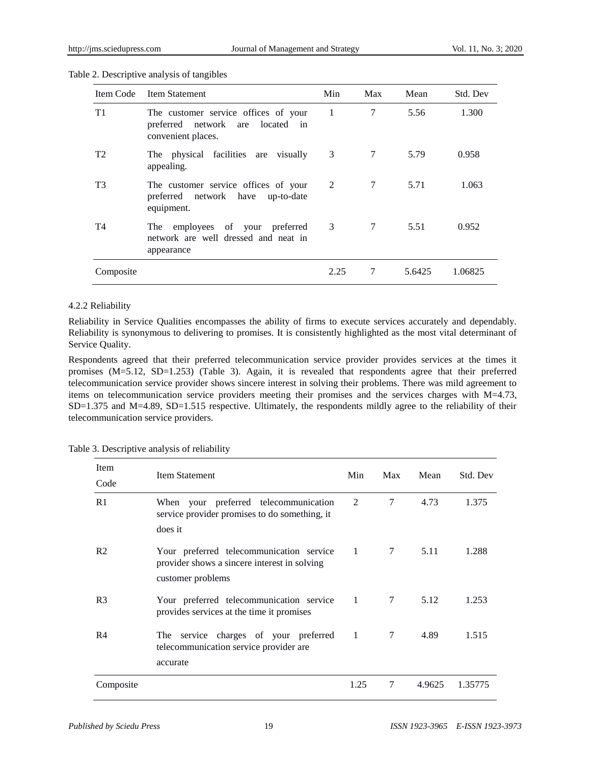| Item Code      | <b>Item Statement</b>                                                                             | Min  | <b>Max</b> | Mean   | Std. Dev |
|----------------|---------------------------------------------------------------------------------------------------|------|------------|--------|----------|
| T1             | The customer service offices of your<br>preferred network are<br>located in<br>convenient places. | 1    | 7          | 5.56   | 1.300    |
| T <sub>2</sub> | The physical facilities are visually<br>appealing.                                                | 3    | 7          | 5.79   | 0.958    |
| T <sub>3</sub> | The customer service offices of your<br>preferred network have up-to-date<br>equipment.           | 2    | 7          | 5.71   | 1.063    |
| T <sub>4</sub> | employees of your<br>preferred<br>The<br>network are well dressed and neat in<br>appearance       | 3    | 7          | 5.51   | 0.952    |
| Composite      |                                                                                                   | 2.25 |            | 5.6425 | 1.06825  |

### Table 2. Descriptive analysis of tangibles

## 4.2.2 Reliability

Reliability in Service Qualities encompasses the ability of firms to execute services accurately and dependably. Reliability is synonymous to delivering to promises. It is consistently highlighted as the most vital determinant of Service Quality.

Respondents agreed that their preferred telecommunication service provider provides services at the times it promises (M=5.12, SD=1.253) (Table 3). Again, it is revealed that respondents agree that their preferred telecommunication service provider shows sincere interest in solving their problems. There was mild agreement to items on telecommunication service providers meeting their promises and the services charges with M=4.73, SD=1.375 and M=4.89, SD=1.515 respective. Ultimately, the respondents mildly agree to the reliability of their telecommunication service providers.

| Item<br>Code   | <b>Item Statement</b>                                                                                         | Min  | Max | Mean   | Std. Dev |
|----------------|---------------------------------------------------------------------------------------------------------------|------|-----|--------|----------|
| R1             | When your preferred telecommunication<br>service provider promises to do something, it<br>does it             | 2    | 7   | 4.73   | 1.375    |
| R <sub>2</sub> | Your preferred telecommunication service<br>provider shows a sincere interest in solving<br>customer problems | 1    | 7   | 5.11   | 1.288    |
| R <sub>3</sub> | Your preferred telecommunication service<br>provides services at the time it promises                         | -1   | 7   | 5.12   | 1.253    |
| R4             | The service charges of your preferred<br>telecommunication service provider are<br>accurate                   | -1   | 7   | 4.89   | 1.515    |
| Composite      |                                                                                                               | 1.25 | 7   | 4.9625 | 1.35775  |

Table 3. Descriptive analysis of reliability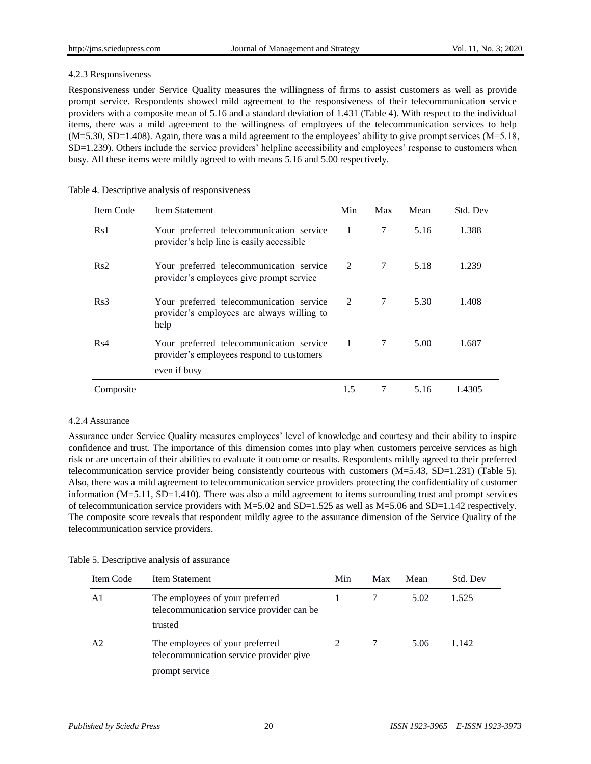# 4.2.3 Responsiveness

Responsiveness under Service Quality measures the willingness of firms to assist customers as well as provide prompt service. Respondents showed mild agreement to the responsiveness of their telecommunication service providers with a composite mean of 5.16 and a standard deviation of 1.431 (Table 4). With respect to the individual items, there was a mild agreement to the willingness of employees of the telecommunication services to help (M=5.30, SD=1.408). Again, there was a mild agreement to the employees' ability to give prompt services (M=5.18, SD=1.239). Others include the service providers' helpline accessibility and employees' response to customers when busy. All these items were mildly agreed to with means 5.16 and 5.00 respectively.

| Item Code       | <b>Item Statement</b>                                                                                 | Min            | <b>Max</b> | Mean | Std. Dev |
|-----------------|-------------------------------------------------------------------------------------------------------|----------------|------------|------|----------|
| Rs1             | Your preferred telecommunication service<br>provider's help line is easily accessible                 | 1              | 7          | 5.16 | 1.388    |
| Rs2             | Your preferred telecommunication service<br>provider's employees give prompt service                  | 2              | 7          | 5.18 | 1.239    |
| Rs <sub>3</sub> | Your preferred telecommunication service<br>provider's employees are always willing to<br>help        | $\mathfrak{D}$ | 7          | 5.30 | 1.408    |
| Rs4             | Your preferred telecommunication service<br>provider's employees respond to customers<br>even if busy | $\mathbf{1}$   | 7          | 5.00 | 1.687    |
|                 |                                                                                                       |                |            |      |          |
| Composite       |                                                                                                       | 1.5            | 7          | 5.16 | 1.4305   |

Table 4. Descriptive analysis of responsiveness

# 4.2.4 Assurance

Assurance under Service Quality measures employees' level of knowledge and courtesy and their ability to inspire confidence and trust. The importance of this dimension comes into play when customers perceive services as high risk or are uncertain of their abilities to evaluate it outcome or results. Respondents mildly agreed to their preferred telecommunication service provider being consistently courteous with customers  $(M=5.43, SD=1.231)$  (Table 5). Also, there was a mild agreement to telecommunication service providers protecting the confidentiality of customer information (M=5.11, SD=1.410). There was also a mild agreement to items surrounding trust and prompt services of telecommunication service providers with  $M=5.02$  and  $SD=1.525$  as well as  $M=5.06$  and  $SD=1.142$  respectively. The composite score reveals that respondent mildly agree to the assurance dimension of the Service Quality of the telecommunication service providers.

|  | Table 5. Descriptive analysis of assurance |
|--|--------------------------------------------|
|  |                                            |

| Item Code | Item Statement                                                                               | Min | <b>Max</b> | Mean | Std. Dev |
|-----------|----------------------------------------------------------------------------------------------|-----|------------|------|----------|
| A1        | The employees of your preferred<br>telecommunication service provider can be<br>trusted      |     |            | 5.02 | 1.525    |
| A2        | The employees of your preferred<br>telecommunication service provider give<br>prompt service |     |            | 5.06 | 1.142    |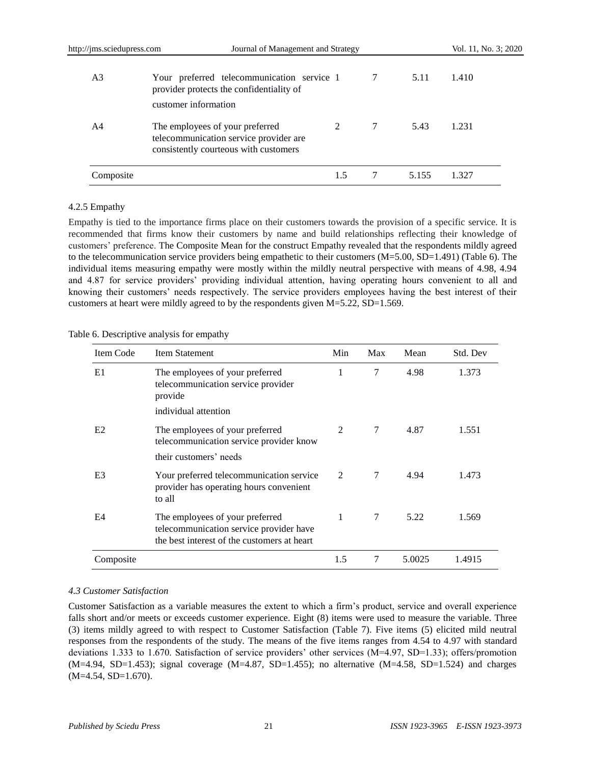| A <sub>3</sub> | Your preferred telecommunication service 1<br>provider protects the confidentiality of<br>customer information     |   | 5.11  | 1.410 |
|----------------|--------------------------------------------------------------------------------------------------------------------|---|-------|-------|
| A4             | The employees of your preferred<br>telecommunication service provider are<br>consistently courteous with customers | 2 | 5.43  | 1.231 |
| Composite      |                                                                                                                    |   | 5.155 | 1 327 |

## 4.2.5 Empathy

Empathy is tied to the importance firms place on their customers towards the provision of a specific service. It is recommended that firms know their customers by name and build relationships reflecting their knowledge of customers' preference. The Composite Mean for the construct Empathy revealed that the respondents mildly agreed to the telecommunication service providers being empathetic to their customers (M=5.00, SD=1.491) (Table 6). The individual items measuring empathy were mostly within the mildly neutral perspective with means of 4.98, 4.94 and 4.87 for service providers' providing individual attention, having operating hours convenient to all and knowing their customers' needs respectively. The service providers employees having the best interest of their customers at heart were mildly agreed to by the respondents given  $M=5.22$ ,  $SD=1.569$ .

Table 6. Descriptive analysis for empathy

| Item Code      | <b>Item Statement</b>                                                                                                     | Min | Max | Mean   | Std. Dev |
|----------------|---------------------------------------------------------------------------------------------------------------------------|-----|-----|--------|----------|
| E1             | The employees of your preferred<br>telecommunication service provider<br>provide                                          | 1   | 7   | 4.98   | 1.373    |
|                | individual attention                                                                                                      |     |     |        |          |
| E2             | The employees of your preferred<br>telecommunication service provider know<br>their customers' needs                      | 2   | 7   | 4.87   | 1.551    |
| E <sub>3</sub> | Your preferred telecommunication service<br>provider has operating hours convenient<br>to all                             | 2   | 7   | 4.94   | 1.473    |
| E4             | The employees of your preferred<br>telecommunication service provider have<br>the best interest of the customers at heart | 1   | 7   | 5.22   | 1.569    |
| Composite      |                                                                                                                           | 1.5 | 7   | 5.0025 | 1.4915   |

#### *4.3 Customer Satisfaction*

Customer Satisfaction as a variable measures the extent to which a firm's product, service and overall experience falls short and/or meets or exceeds customer experience. Eight (8) items were used to measure the variable. Three (3) items mildly agreed to with respect to Customer Satisfaction (Table 7). Five items (5) elicited mild neutral responses from the respondents of the study. The means of the five items ranges from 4.54 to 4.97 with standard deviations 1.333 to 1.670. Satisfaction of service providers' other services (M=4.97, SD=1.33); offers/promotion  $(M=4.94, SD=1.453)$ ; signal coverage  $(M=4.87, SD=1.455)$ ; no alternative  $(M=4.58, SD=1.524)$  and charges  $(M=4.54, SD=1.670)$ .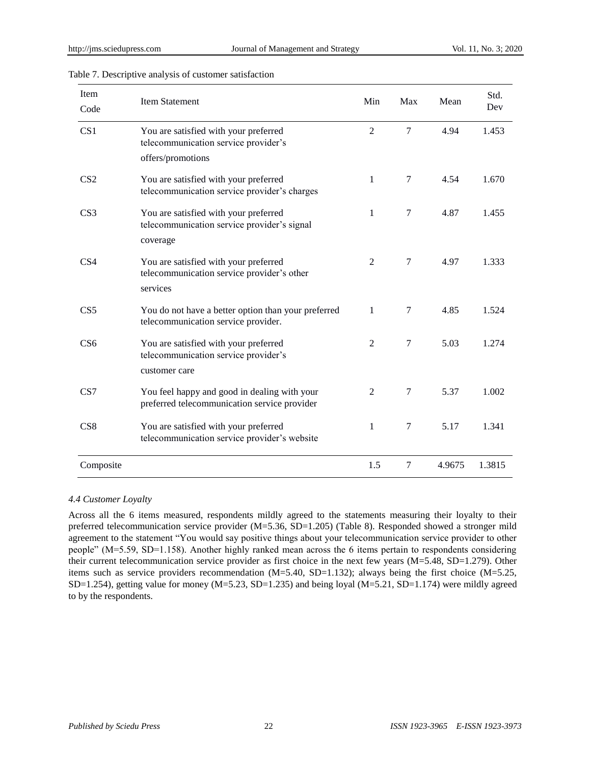| Item<br>Code    | <b>Item Statement</b>                                                                              | Min            | Max            | Mean   | Std.<br>Dev |
|-----------------|----------------------------------------------------------------------------------------------------|----------------|----------------|--------|-------------|
| CS <sub>1</sub> | You are satisfied with your preferred<br>telecommunication service provider's<br>offers/promotions | 2              | 7              | 4.94   | 1.453       |
| CS <sub>2</sub> | You are satisfied with your preferred<br>telecommunication service provider's charges              | 1              | 7              | 4.54   | 1.670       |
| CS <sub>3</sub> | You are satisfied with your preferred<br>telecommunication service provider's signal<br>coverage   | 1              | $\overline{7}$ | 4.87   | 1.455       |
| CS <sub>4</sub> | You are satisfied with your preferred<br>telecommunication service provider's other<br>services    | 2              | 7              | 4.97   | 1.333       |
| CS5             | You do not have a better option than your preferred<br>telecommunication service provider.         | 1              | 7              | 4.85   | 1.524       |
| CS <sub>6</sub> | You are satisfied with your preferred<br>telecommunication service provider's<br>customer care     | $\overline{2}$ | $\overline{7}$ | 5.03   | 1.274       |
| CS <sub>7</sub> | You feel happy and good in dealing with your<br>preferred telecommunication service provider       | 2              | $\overline{7}$ | 5.37   | 1.002       |
| CS8             | You are satisfied with your preferred<br>telecommunication service provider's website              | 1              | 7              | 5.17   | 1.341       |
| Composite       |                                                                                                    | 1.5            | 7              | 4.9675 | 1.3815      |

## Table 7. Descriptive analysis of customer satisfaction

## *4.4 Customer Loyalty*

Across all the 6 items measured, respondents mildly agreed to the statements measuring their loyalty to their preferred telecommunication service provider (M=5.36, SD=1.205) (Table 8). Responded showed a stronger mild agreement to the statement "You would say positive things about your telecommunication service provider to other people" (M=5.59, SD=1.158). Another highly ranked mean across the 6 items pertain to respondents considering their current telecommunication service provider as first choice in the next few years (M=5.48, SD=1.279). Other items such as service providers recommendation  $(M=5.40, SD=1.132)$ ; always being the first choice  $(M=5.25,$ SD=1.254), getting value for money ( $M=5.23$ , SD=1.235) and being loyal ( $M=5.21$ , SD=1.174) were mildly agreed to by the respondents.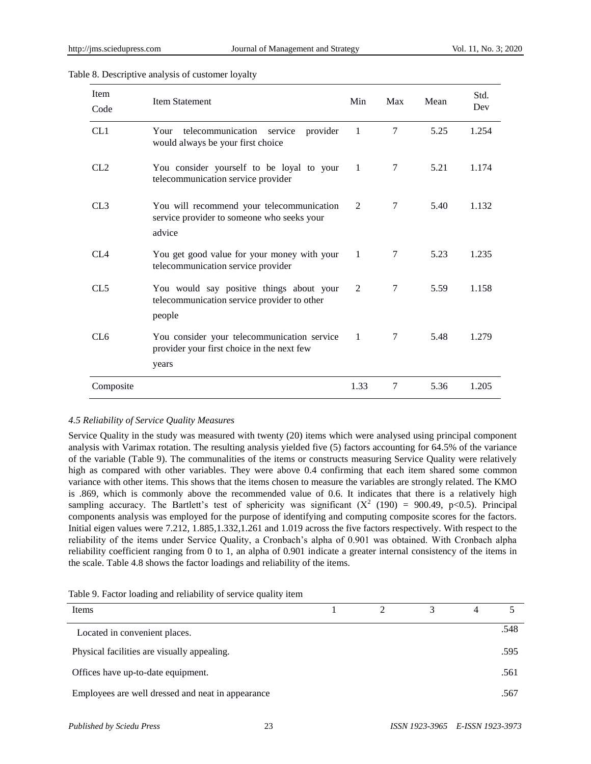| Item<br>Code    | <b>Item Statement</b>                                                                              | Min  | Max | Mean | Std.<br>Dev |
|-----------------|----------------------------------------------------------------------------------------------------|------|-----|------|-------------|
| CL <sub>1</sub> | telecommunication<br>Your<br>service<br>provider<br>would always be your first choice              | -1   | 7   | 5.25 | 1.254       |
| CL2             | You consider yourself to be loyal to your<br>telecommunication service provider                    | 1    | 7   | 5.21 | 1.174       |
| CL3             | You will recommend your telecommunication<br>service provider to someone who seeks your<br>advice  | 2    | 7   | 5.40 | 1.132       |
| CL <sub>4</sub> | You get good value for your money with your<br>telecommunication service provider                  | 1    | 7   | 5.23 | 1.235       |
| CL <sub>5</sub> | You would say positive things about your<br>telecommunication service provider to other<br>people  | 2    | 7   | 5.59 | 1.158       |
| CL <sub>6</sub> | You consider your telecommunication service<br>provider your first choice in the next few<br>years | -1   | 7   | 5.48 | 1.279       |
| Composite       |                                                                                                    | 1.33 | 7   | 5.36 | 1.205       |

#### Table 8. Descriptive analysis of customer loyalty

#### *4.5 Reliability of Service Quality Measures*

Service Quality in the study was measured with twenty (20) items which were analysed using principal component analysis with Varimax rotation. The resulting analysis yielded five (5) factors accounting for 64.5% of the variance of the variable (Table 9). The communalities of the items or constructs measuring Service Quality were relatively high as compared with other variables. They were above 0.4 confirming that each item shared some common variance with other items. This shows that the items chosen to measure the variables are strongly related. The KMO is .869, which is commonly above the recommended value of 0.6. It indicates that there is a relatively high sampling accuracy. The Bartlett's test of sphericity was significant  $(X^2 (190) = 900.49, p<0.5)$ . Principal components analysis was employed for the purpose of identifying and computing composite scores for the factors. Initial eigen values were 7.212, 1.885,1.332,1.261 and 1.019 across the five factors respectively. With respect to the reliability of the items under Service Quality, a Cronbach's alpha of 0.901 was obtained. With Cronbach alpha reliability coefficient ranging from 0 to 1, an alpha of 0.901 indicate a greater internal consistency of the items in the scale. Table 4.8 shows the factor loadings and reliability of the items.

| Items                                             |  |  |      |
|---------------------------------------------------|--|--|------|
| Located in convenient places.                     |  |  | .548 |
| Physical facilities are visually appealing.       |  |  | .595 |
| Offices have up-to-date equipment.                |  |  | .561 |
| Employees are well dressed and neat in appearance |  |  | .567 |

Table 9. Factor loading and reliability of service quality item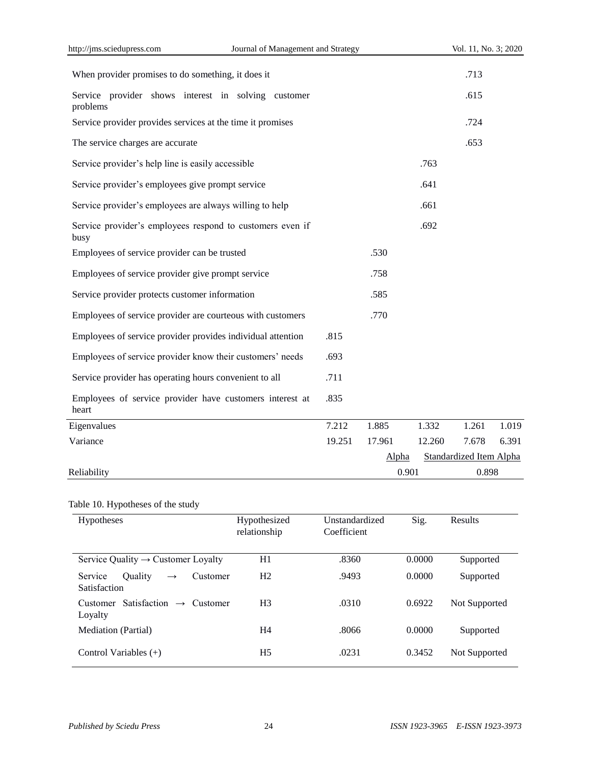| Reliability                                                       |        | 0.901  |        | 0.898                          |       |
|-------------------------------------------------------------------|--------|--------|--------|--------------------------------|-------|
|                                                                   |        | Alpha  |        | <b>Standardized Item Alpha</b> |       |
| Variance                                                          | 19.251 | 17.961 | 12.260 | 7.678                          | 6.391 |
| Eigenvalues                                                       | 7.212  | 1.885  | 1.332  | 1.261                          | 1.019 |
| Employees of service provider have customers interest at<br>heart | .835   |        |        |                                |       |
| Service provider has operating hours convenient to all            | .711   |        |        |                                |       |
| Employees of service provider know their customers' needs         | .693   |        |        |                                |       |
| Employees of service provider provides individual attention       | .815   |        |        |                                |       |
| Employees of service provider are courteous with customers        |        | .770   |        |                                |       |
| Service provider protects customer information                    |        | .585   |        |                                |       |
| Employees of service provider give prompt service                 |        | .758   |        |                                |       |
| Employees of service provider can be trusted                      |        | .530   |        |                                |       |
| Service provider's employees respond to customers even if<br>busy |        |        | .692   |                                |       |
| Service provider's employees are always willing to help           |        |        | .661   |                                |       |
| Service provider's employees give prompt service                  |        |        | .641   |                                |       |
| Service provider's help line is easily accessible                 |        |        | .763   |                                |       |
| The service charges are accurate                                  |        |        |        | .653                           |       |
| Service provider provides services at the time it promises        |        |        |        | .724                           |       |
| Service provider shows interest in solving customer<br>problems   |        |        |        | .615                           |       |
| When provider promises to do something, it does it                |        |        |        | .713                           |       |

# Table 10. Hypotheses of the study

| Hypotheses                                                       | Hypothesized<br>relationship | Unstandardized<br>Coefficient | Sig.   | Results       |
|------------------------------------------------------------------|------------------------------|-------------------------------|--------|---------------|
| Service Quality $\rightarrow$ Customer Loyalty                   | H1                           | .8360                         | 0.0000 | Supported     |
| Ouality<br>Service<br>Customer<br>$\rightarrow$<br>Satisfaction  | H <sub>2</sub>               | .9493                         | 0.0000 | Supported     |
| Satisfaction<br>Customer<br>Customer<br>$\rightarrow$<br>Loyalty | H <sub>3</sub>               | .0310                         | 0.6922 | Not Supported |
| <b>Mediation</b> (Partial)                                       | H4                           | .8066                         | 0.0000 | Supported     |
| Control Variables $(+)$                                          | H <sub>5</sub>               | .0231                         | 0.3452 | Not Supported |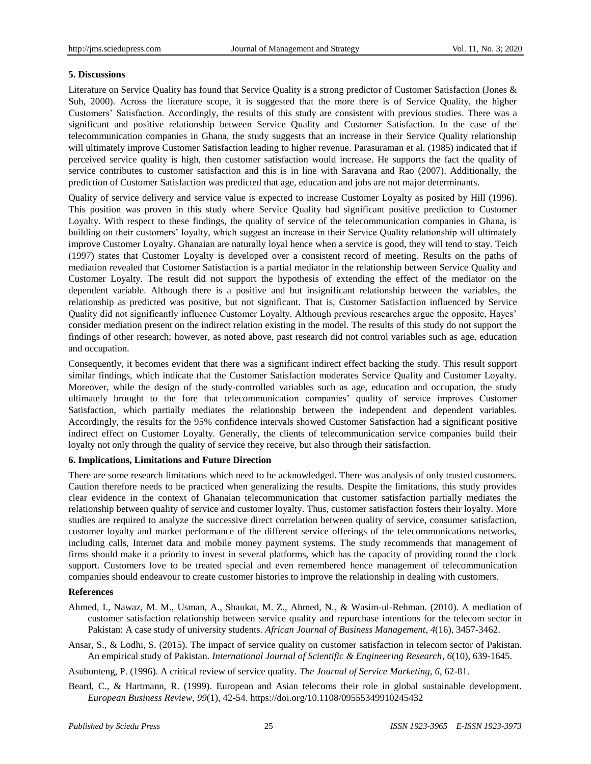## **5. Discussions**

Literature on Service Quality has found that Service Quality is a strong predictor of Customer Satisfaction (Jones & Suh, 2000). Across the literature scope, it is suggested that the more there is of Service Quality, the higher Customers' Satisfaction. Accordingly, the results of this study are consistent with previous studies. There was a significant and positive relationship between Service Quality and Customer Satisfaction. In the case of the telecommunication companies in Ghana, the study suggests that an increase in their Service Quality relationship will ultimately improve Customer Satisfaction leading to higher revenue. Parasuraman et al. (1985) indicated that if perceived service quality is high, then customer satisfaction would increase. He supports the fact the quality of service contributes to customer satisfaction and this is in line with Saravana and Rao (2007). Additionally, the prediction of Customer Satisfaction was predicted that age, education and jobs are not major determinants.

Quality of service delivery and service value is expected to increase Customer Loyalty as posited by Hill (1996). This position was proven in this study where Service Quality had significant positive prediction to Customer Loyalty. With respect to these findings, the quality of service of the telecommunication companies in Ghana, is building on their customers' loyalty, which suggest an increase in their Service Quality relationship will ultimately improve Customer Loyalty. Ghanaian are naturally loyal hence when a service is good, they will tend to stay. Teich (1997) states that Customer Loyalty is developed over a consistent record of meeting. Results on the paths of mediation revealed that Customer Satisfaction is a partial mediator in the relationship between Service Quality and Customer Loyalty. The result did not support the hypothesis of extending the effect of the mediator on the dependent variable. Although there is a positive and but insignificant relationship between the variables, the relationship as predicted was positive, but not significant. That is, Customer Satisfaction influenced by Service Quality did not significantly influence Customer Loyalty. Although previous researches argue the opposite, Hayes' consider mediation present on the indirect relation existing in the model. The results of this study do not support the findings of other research; however, as noted above, past research did not control variables such as age, education and occupation.

Consequently, it becomes evident that there was a significant indirect effect backing the study. This result support similar findings, which indicate that the Customer Satisfaction moderates Service Quality and Customer Loyalty. Moreover, while the design of the study-controlled variables such as age, education and occupation, the study ultimately brought to the fore that telecommunication companies' quality of service improves Customer Satisfaction, which partially mediates the relationship between the independent and dependent variables. Accordingly, the results for the 95% confidence intervals showed Customer Satisfaction had a significant positive indirect effect on Customer Loyalty. Generally, the clients of telecommunication service companies build their loyalty not only through the quality of service they receive, but also through their satisfaction.

# **6. Implications, Limitations and Future Direction**

There are some research limitations which need to be acknowledged. There was analysis of only trusted customers. Caution therefore needs to be practiced when generalizing the results. Despite the limitations, this study provides clear evidence in the context of Ghanaian telecommunication that customer satisfaction partially mediates the relationship between quality of service and customer loyalty. Thus, customer satisfaction fosters their loyalty. More studies are required to analyze the successive direct correlation between quality of service, consumer satisfaction, customer loyalty and market performance of the different service offerings of the telecommunications networks, including calls, Internet data and mobile money payment systems. The study recommends that management of firms should make it a priority to invest in several platforms, which has the capacity of providing round the clock support. Customers love to be treated special and even remembered hence management of telecommunication companies should endeavour to create customer histories to improve the relationship in dealing with customers.

#### **References**

- Ahmed, I., Nawaz, M. M., Usman, A., Shaukat, M. Z., Ahmed, N., & Wasim-ul-Rehman. (2010). A mediation of customer satisfaction relationship between service quality and repurchase intentions for the telecom sector in Pakistan: A case study of university students. *African Journal of Business Management*, *4*(16), 3457-3462.
- Ansar, S., & Lodhi, S. (2015). The impact of service quality on customer satisfaction in telecom sector of Pakistan. An empirical study of Pakistan. *International Journal of Scientific & Engineering Research*, *6*(10), 639-1645.

Asubonteng, P. (1996). A critical review of service quality. *The Journal of Service Marketing*, *6*, 62-81.

Beard, C., & Hartmann, R. (1999). European and Asian telecoms their role in global sustainable development. *European Business Review, 99*(1), 42-54. https://doi.org/10.1108/09555349910245432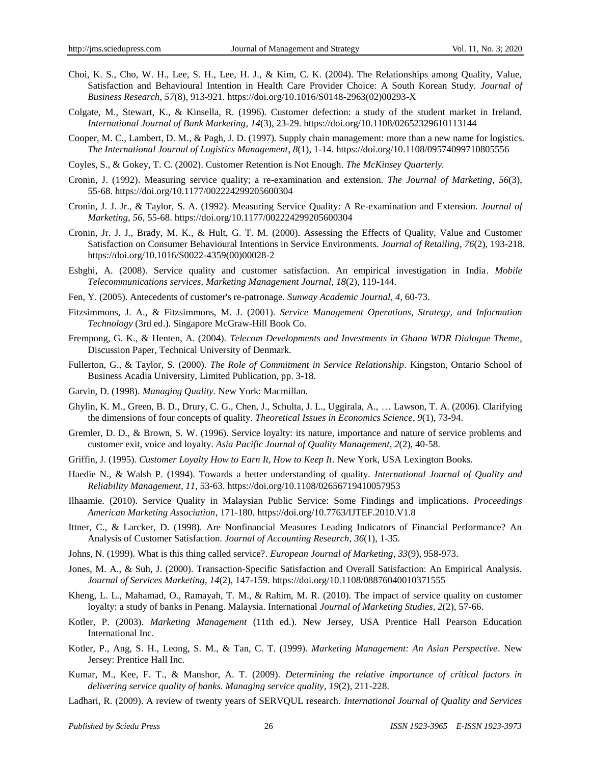- Choi, K. S., Cho, W. H., Lee, S. H., Lee, H. J., & Kim, C. K. (2004). The Relationships among Quality, Value, Satisfaction and Behavioural Intention in Health Care Provider Choice: A South Korean Study. *Journal of Business Research*, *57*(8), 913-921. https://doi.org/10.1016/S0148-2963(02)00293-X
- Colgate, M., Stewart, K., & Kinsella, R. (1996). Customer defection: a study of the student market in Ireland. *International Journal of Bank Marketing*, *14*(3), 23-29. https://doi.org/10.1108/02652329610113144
- Cooper, M. C., Lambert, D. M., & Pagh, J. D. (1997). Supply chain management: more than a new name for logistics. *The International Journal of Logistics Management*, *8*(1), 1-14. https://doi.org/10.1108/09574099710805556
- Coyles, S., & Gokey, T. C. (2002). Customer Retention is Not Enough. *The McKinsey Quarterly.*
- Cronin, J. (1992). Measuring service quality; a re-examination and extension. *The Journal of Marketing*, *56*(3), 55-68. https://doi.org/10.1177/002224299205600304
- Cronin, J. J. Jr., & Taylor, S. A. (1992). Measuring Service Quality: A Re-examination and Extension. *Journal of Marketing*, *56*, 55-68. https://doi.org/10.1177/002224299205600304
- Cronin, Jr. J. J., Brady, M. K., & Hult, G. T. M. (2000). Assessing the Effects of Quality, Value and Customer Satisfaction on Consumer Behavioural Intentions in Service Environments. *Journal of Retailing*, *76*(2), 193-218. https://doi.org/10.1016/S0022-4359(00)00028-2
- Eshghi, A. (2008). Service quality and customer satisfaction. An empirical investigation in India. *Mobile Telecommunications services, Marketing Management Journal*, *18*(2), 119-144.
- Fen, Y. (2005). Antecedents of customer's re-patronage. *Sunway Academic Journal*, *4*, 60-73.
- Fitzsimmons, J. A., & Fitzsimmons, M. J. (2001). *Service Management Operations, Strategy, and Information Technology* (3rd ed.). Singapore McGraw-Hill Book Co.
- Frempong, G. K., & Henten, A. (2004). *Telecom Developments and Investments in Ghana WDR Dialogue Theme*, Discussion Paper, Technical University of Denmark.
- Fullerton, G., & Taylor, S. (2000). *The Role of Commitment in Service Relationship*. Kingston, Ontario School of Business Acadia University, Limited Publication, pp. 3-18.
- Garvin, D. (1998). *Managing Quality*. New York: Macmillan.
- Ghylin, K. M., Green, B. D., Drury, C. G., Chen, J., Schulta, J. L., Uggirala, A., … Lawson, T. A. (2006). Clarifying the dimensions of four concepts of quality. *Theoretical Issues in Economics Science*, *9*(1), 73-94.
- Gremler, D. D., & Brown, S. W. (1996). Service loyalty: its nature, importance and nature of service problems and customer exit, voice and loyalty. *Asia Pacific Journal of Quality Management*, *2*(2), 40-58.
- Griffin, J. (1995). *Customer Loyalty How to Earn It, How to Keep It*. New York, USA Lexington Books.
- Haedie N., & Walsh P. (1994). Towards a better understanding of quality. *International Journal of Quality and Reliability Management*, *11*, 53-63. https://doi.org/10.1108/02656719410057953
- Ilhaamie. (2010). Service Quality in Malaysian Public Service: Some Findings and implications. *Proceedings American Marketing Association*, 171-180. https://doi.org/10.7763/IJTEF.2010.V1.8
- Ittner, C., & Larcker, D. (1998). Are Nonfinancial Measures Leading Indicators of Financial Performance? An Analysis of Customer Satisfaction. *Journal of Accounting Research*, *36*(1), 1-35.
- Johns, N. (1999). What is this thing called service?. *European Journal of Marketing*, *33*(9), 958-973.
- Jones, M. A., & Suh, J. (2000). Transaction-Specific Satisfaction and Overall Satisfaction: An Empirical Analysis. *Journal of Services Marketing*, *14*(2), 147-159. https://doi.org/10.1108/08876040010371555
- Kheng, L. L., Mahamad, O., Ramayah, T. M., & Rahim, M. R. (2010). The impact of service quality on customer loyalty: a study of banks in Penang. Malaysia. International *Journal of Marketing Studies*, *2*(2), 57-66.
- Kotler, P. (2003). *Marketing Management* (11th ed.). New Jersey, USA Prentice Hall Pearson Education International Inc.
- Kotler, P., Ang, S. H., Leong, S. M., & Tan, C. T. (1999). *Marketing Management: An Asian Perspective*. New Jersey: Prentice Hall Inc.
- Kumar, M., Kee, F. T., & Manshor, A. T. (2009). *Determining the relative importance of critical factors in delivering service quality of banks. Managing service quality*, *19*(2), 211-228.
- Ladhari, R. (2009). A review of twenty years of SERVQUL research. *International Journal of Quality and Services*